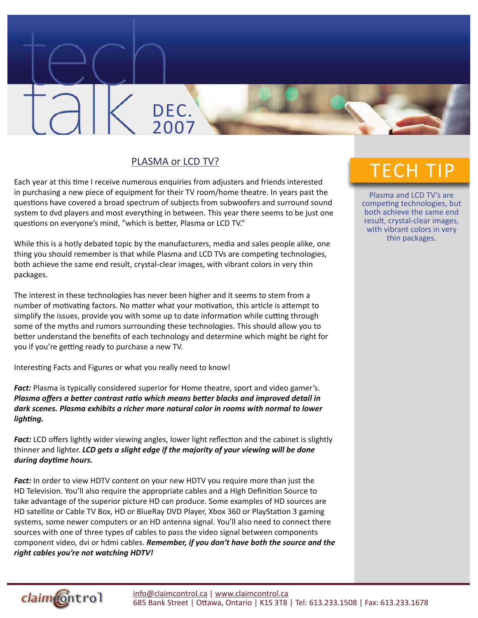## PLASMA or LCD TV?

DEC.

2007

Each year at this time I receive numerous enquiries from adjusters and friends interested in purchasing a new piece of equipment for their TV room/home theatre. In years past the questions have covered a broad spectrum of subjects from subwoofers and surround sound system to dvd players and most everything in between. This year there seems to be just one questions on everyone's mind, "which is better, Plasma or LCD TV."

While this is a hotly debated topic by the manufacturers, media and sales people alike, one thing you should remember is that while Plasma and LCD TVs are competing technologies, both achieve the same end result, crystal-clear images, with vibrant colors in very thin packages.

The interest in these technologies has never been higher and it seems to stem from a number of motivating factors. No matter what your motivation, this article is attempt to simplify the issues, provide you with some up to date information while cutting through some of the myths and rumors surrounding these technologies. This should allow you to better understand the benefits of each technology and determine which might be right for you if you're getting ready to purchase a new TV.

Interesting Facts and Figures or what you really need to know!

*Fact:* Plasma is typically considered superior for Home theatre, sport and video gamer's. *Plasma offers a better contrast ratio which means better blacks and improved detail in dark scenes. Plasma exhibits a richer more natural color in rooms with normal to lower lighting.*

*Fact:* LCD offers lightly wider viewing angles, lower light reflection and the cabinet is slightly thinner and lighter. *LCD gets a slight edge if the majority of your viewing will be done during daytime hours.*

Fact: In order to view HDTV content on your new HDTV you require more than just the HD Television. You'll also require the appropriate cables and a High Definition Source to take advantage of the superior picture HD can produce. Some examples of HD sources are HD satellite or Cable TV Box, HD or BlueRay DVD Player, Xbox 360 or PlayStation 3 gaming systems, some newer computers or an HD antenna signal. You'll also need to connect there sources with one of three types of cables to pass the video signal between components component video, dvi or hdmi cables. *Remember, if you don't have both the source and the right cables you're not watching HDTV!*

## TECH TIP

Plasma and LCD TV's are competing technologies, but both achieve the same end result, crystal-clear images, with vibrant colors in very thin packages.

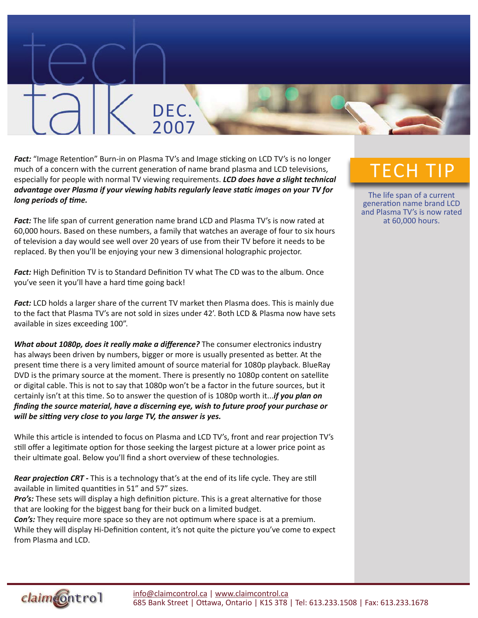**Fact:** "Image Retention" Burn-in on Plasma TV's and Image sticking on LCD TV's is no longer much of a concern with the current generation of name brand plasma and LCD televisions, especially for people with normal TV viewing requirements. *LCD does have a slight technical advantage over Plasma if your viewing habits regularly leave static images on your TV for long periods of time.*

DEC.

2007

*Fact:* The life span of current generation name brand LCD and Plasma TV's is now rated at 60,000 hours. Based on these numbers, a family that watches an average of four to six hours of television a day would see well over 20 years of use from their TV before it needs to be replaced. By then you'll be enjoying your new 3 dimensional holographic projector.

*Fact:* High Definition TV is to Standard Definition TV what The CD was to the album. Once you've seen it you'll have a hard time going back!

*Fact:* LCD holds a larger share of the current TV market then Plasma does. This is mainly due to the fact that Plasma TV's are not sold in sizes under 42'. Both LCD & Plasma now have sets available in sizes exceeding 100".

*What about 1080p, does it really make a difference?* The consumer electronics industry has always been driven by numbers, bigger or more is usually presented as better. At the present time there is a very limited amount of source material for 1080p playback. BlueRay DVD is the primary source at the moment. There is presently no 1080p content on satellite or digital cable. This is not to say that 1080p won't be a factor in the future sources, but it certainly isn't at this time. So to answer the question of is 1080p worth it...*if you plan on finding the source material, have a discerning eye, wish to future proof your purchase or will be sitting very close to you large TV, the answer is yes.*

While this article is intended to focus on Plasma and LCD TV's, front and rear projection TV's still offer a legitimate option for those seeking the largest picture at a lower price point as their ultimate goal. Below you'll find a short overview of these technologies.

*Rear projection CRT -* This is a technology that's at the end of its life cycle. They are still available in limited quantities in 51" and 57" sizes.

*Pro's:* These sets will display a high definition picture. This is a great alternative for those that are looking for the biggest bang for their buck on a limited budget.

*Con's:* They require more space so they are not optimum where space is at a premium. While they will display Hi-Definition content, it's not quite the picture you've come to expect from Plasma and LCD.

## TECH TIP

The life span of a current generation name brand LCD and Plasma TV's is now rated at 60,000 hours.